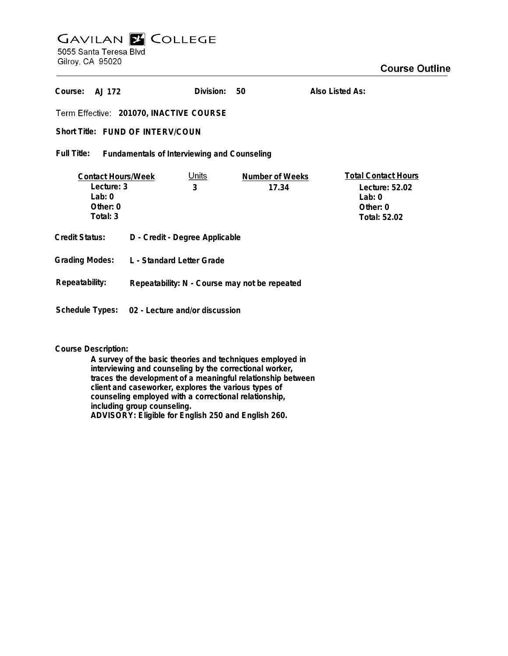# **GAVILAN Z COLLEGE** 5055 Santa Teresa Blvd

Gilroy, CA 95020

| Course:<br>AJ 172                                                            |                                                | Division:  | 50                       | Also Listed As:                                                                      |
|------------------------------------------------------------------------------|------------------------------------------------|------------|--------------------------|--------------------------------------------------------------------------------------|
| Term Effective: 201070, INACTIVE COURSE                                      |                                                |            |                          |                                                                                      |
| Short Title: FUND OF INTERV/COUN                                             |                                                |            |                          |                                                                                      |
| Full Title:<br>Fundamentals of Interviewing and Counseling                   |                                                |            |                          |                                                                                      |
| <b>Contact Hours/Week</b><br>Lecture: 3<br>$1$ ab: 0<br>Other: 0<br>Total: 3 |                                                | Units<br>3 | Number of Weeks<br>17.34 | <b>Total Contact Hours</b><br>Lecture: 52.02<br>Lab: $0$<br>Other: 0<br>Total: 52.02 |
| Credit Status:                                                               | D - Credit - Degree Applicable                 |            |                          |                                                                                      |
| <b>Grading Modes:</b>                                                        | L - Standard Letter Grade                      |            |                          |                                                                                      |
| Repeatability:                                                               | Repeatability: N - Course may not be repeated  |            |                          |                                                                                      |
|                                                                              | Schedule Types: 02 - Lecture and/or discussion |            |                          |                                                                                      |

**Course Description:**

**A survey of the basic theories and techniques employed in interviewing and counseling by the correctional worker, traces the development of a meaningful relationship between client and caseworker, explores the various types of counseling employed with a correctional relationship, including group counseling. ADVISORY: Eligible for English 250 and English 260.**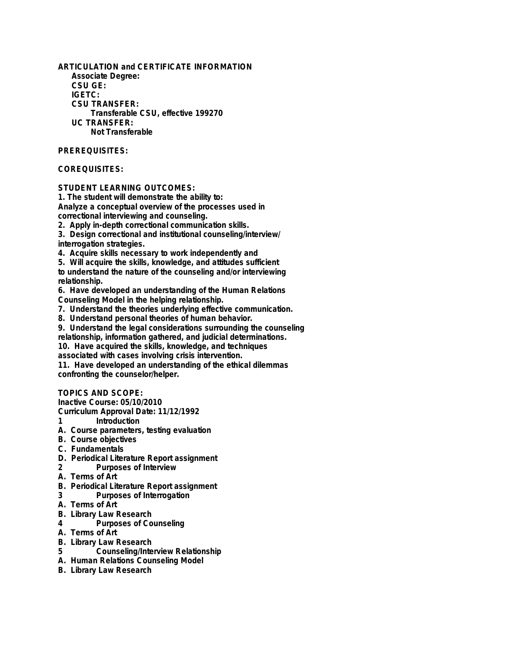**ARTICULATION and CERTIFICATE INFORMATION Associate Degree: CSU GE: IGETC: CSU TRANSFER: Transferable CSU, effective 199270 UC TRANSFER: Not Transferable**

## **PREREQUISITES:**

## **COREQUISITES:**

### **STUDENT LEARNING OUTCOMES:**

**1. The student will demonstrate the ability to: Analyze a conceptual overview of the processes used in correctional interviewing and counseling.**

**2. Apply in-depth correctional communication skills.**

**3. Design correctional and institutional counseling/interview/ interrogation strategies.**

**4. Acquire skills necessary to work independently and**

**5. Will acquire the skills, knowledge, and attitudes sufficient to understand the nature of the counseling and/or interviewing relationship.**

**6. Have developed an understanding of the Human Relations Counseling Model in the helping relationship.**

**7. Understand the theories underlying effective communication.**

**8. Understand personal theories of human behavior.**

**9. Understand the legal considerations surrounding the counseling relationship, information gathered, and judicial determinations.**

**10. Have acquired the skills, knowledge, and techniques**

**associated with cases involving crisis intervention.**

**11. Have developed an understanding of the ethical dilemmas confronting the counselor/helper.**

## **TOPICS AND SCOPE:**

**Inactive Course: 05/10/2010**

**Curriculum Approval Date: 11/12/1992**

- **1 Introduction**
- **A. Course parameters, testing evaluation**
- **B. Course objectives**
- **C. Fundamentals**
- **D. Periodical Literature Report assignment**
- **2 Purposes of Interview**
- **A. Terms of Art**
- **B. Periodical Literature Report assignment**
- **3 Purposes of Interrogation**
- **A. Terms of Art**
- **B. Library Law Research**
- **4 Purposes of Counseling**
- **A. Terms of Art**
- **B. Library Law Research**
- **5 Counseling/Interview Relationship**
- **A. Human Relations Counseling Model**
- **B. Library Law Research**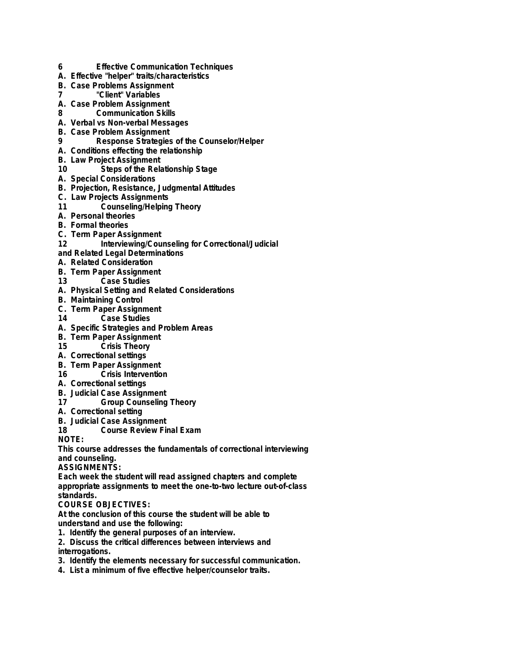- **6 Effective Communication Techniques**
- **A. Effective "helper" traits/characteristics**
- **B. Case Problems Assignment**
- **7 "Client" Variables**
- **A. Case Problem Assignment**
- **8 Communication Skills**
- **A. Verbal vs Non-verbal Messages**
- **B. Case Problem Assignment**
- **9 Response Strategies of the Counselor/Helper**
- **A. Conditions effecting the relationship**
- **B. Law Project Assignment**
- **10 Steps of the Relationship Stage**
- **A. Special Considerations**
- **B. Projection, Resistance, Judgmental Attitudes**
- **C. Law Projects Assignments**
- **11 Counseling/Helping Theory**
- **A. Personal theories**
- **B. Formal theories**
- **C. Term Paper Assignment**
- 12 **Interviewing/Counseling for Correctional/Judicial**
- **and Related Legal Determinations**
- **A. Related Consideration**
- **B. Term Paper Assignment**
- **13 Case Studies**
- **A. Physical Setting and Related Considerations**
- **B. Maintaining Control**
- **C. Term Paper Assignment**
- **14 Case Studies**
- **A. Specific Strategies and Problem Areas**
- **B. Term Paper Assignment**
- **15 Crisis Theory**
- **A. Correctional settings**
- **B. Term Paper Assignment**
- **16 Crisis Intervention**
- **A. Correctional settings**
- **B. Judicial Case Assignment**
- **17 Group Counseling Theory**
- **A. Correctional setting**
- **B. Judicial Case Assignment**
- **18 Course Review Final Exam**

**NOTE:**

**This course addresses the fundamentals of correctional interviewing and counseling.**

**ASSIGNMENTS:**

**Each week the student will read assigned chapters and complete appropriate assignments to meet the one-to-two lecture out-of-class standards.**

## **COURSE OBJECTIVES:**

**At the conclusion of this course the student will be able to understand and use the following:**

- **1. Identify the general purposes of an interview.**
- **2. Discuss the critical differences between interviews and interrogations.**
- **3. Identify the elements necessary for successful communication.**
- **4. List a minimum of five effective helper/counselor traits.**